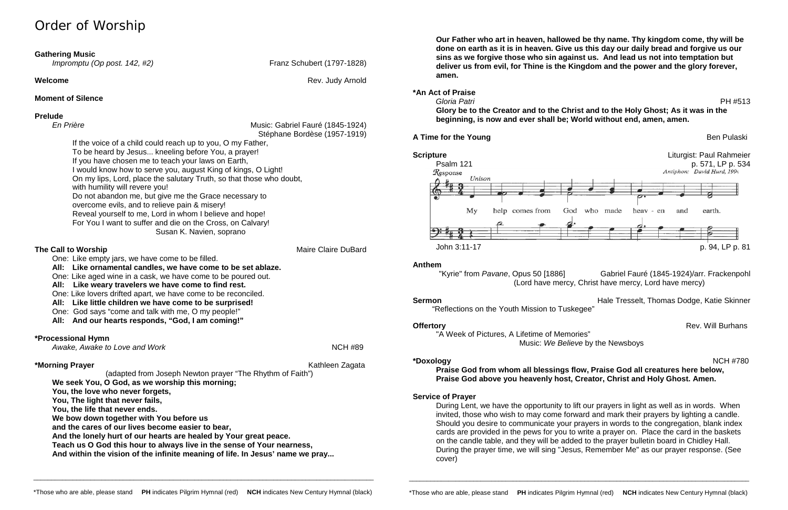# Order of Worship

### **Moment of Silence**

## **Prelude**

| En Prière                                                                                                                                                                                                                                                                                                                                                                                                                                                                                                                                                                              | Music: Gabriel Fauré (1845-1924)                         |
|----------------------------------------------------------------------------------------------------------------------------------------------------------------------------------------------------------------------------------------------------------------------------------------------------------------------------------------------------------------------------------------------------------------------------------------------------------------------------------------------------------------------------------------------------------------------------------------|----------------------------------------------------------|
| If the voice of a child could reach up to you, O my Father,<br>To be heard by Jesus kneeling before You, a prayer!<br>If you have chosen me to teach your laws on Earth,<br>I would know how to serve you, august King of kings, O Light!<br>On my lips, Lord, place the salutary Truth, so that those who doubt,<br>with humility will revere you!<br>Do not abandon me, but give me the Grace necessary to<br>overcome evils, and to relieve pain & misery!<br>Reveal yourself to me, Lord in whom I believe and hope!<br>For You I want to suffer and die on the Cross, on Calvary! | Stéphane Bordèse (1957-1919)<br>Susan K. Navien, soprano |
| The Call to Worship<br>One: Like empty jars, we have come to be filled.<br>All: Like ornamental candles, we have come to be set ablaze.<br>One: Like aged wine in a cask, we have come to be poured out.<br>All:<br>Like weary travelers we have come to find rest.<br>One: Like lovers drifted apart, we have come to be reconciled.<br>All: Like little children we have come to be surprised!<br>One: God says "come and talk with me, O my people!"<br>All: And our hearts responds, "God, I am coming!"                                                                           | <b>Maire Claire DuBard</b>                               |
| *Processional Hymn<br>Awake, Awake to Love and Work                                                                                                                                                                                                                                                                                                                                                                                                                                                                                                                                    | <b>NCH #89</b>                                           |

**Anthem**<br>"Kyrie" from *Pavane*, Opus 50 [1886] Gabriel Fauré (1845-1924)/arr. Frackenpohl (Lord have mercy, Christ have mercy, Lord have mercy)

**Sermon Sermon Hale Tresselt, Thomas Dodge, Katie Skinner** "Reflections on the Youth Mission to Tuskegee"

**\*Morning Prayer** Kathleen Zagata (adapted from Joseph Newton prayer "The Rhythm of Faith") **We seek You, O God, as we worship this morning; You, the love who never forgets, You, The light that never fails, You, the life that never ends. We bow down together with You before us and the cares of our lives become easier to bear, And the lonely hurt of our hearts are healed by Your great peace. Teach us O God this hour to always live in the sense of Your nearness, And within the vision of the infinite meaning of life. In Jesus' name we pray...**

*Impromptu (Op post. 142, #2)* Franz Schubert (1797-1828)

**Welcome Rev. Judy Arnold Rev. Judy Arnold** 

**Our Father who art in heaven, hallowed be thy name. Thy kingdom come, thy will be done on earth as it is in heaven. Give us this day our daily bread and forgive us our sins as we forgive those who sin against us. And lead us not into temptation but deliver us from evil, for Thine is the Kingdom and the power and the glory forever, amen.**

## **\*An Act of Praise**  *Gloria Patri* PH #513

**Glory be to the Creator and to the Christ and to the Holy Ghost; As it was in the beginning, is now and ever shall be; World without end, amen, amen.**

### **A Time for the Young Ben Pulaski** Ben Pulaski



"A Week of Pictures, A Lifetime of Memories" Music: *We Believe* by the Newsboys

**\*Doxology** NCH #780 **Praise God from whom all blessings flow, Praise God all creatures here below, Praise God above you heavenly host, Creator, Christ and Holy Ghost. Amen.**

## **Service of Prayer**

During Lent, we have the opportunity to lift our prayers in light as well as in words. When invited, those who wish to may come forward and mark their prayers by lighting a candle. Should you desire to communicate your prayers in words to the congregation, blank index cards are provided in the pews for you to write a prayer on. Place the card in the baskets on the candle table, and they will be added to the prayer bulletin board in Chidley Hall. During the prayer time, we will sing "Jesus, Remember Me" as our prayer response. (See cover)

\_\_\_\_\_\_\_\_\_\_\_\_\_\_\_\_\_\_\_\_\_\_\_\_\_\_\_\_\_\_\_\_\_\_\_\_\_\_\_\_\_\_\_\_\_\_\_\_\_\_\_\_\_\_\_\_\_\_\_\_\_\_\_\_\_\_\_\_\_\_\_\_\_\_\_\_\_\_\_\_\_\_\_\_\_\_\_\_\_\_\_\_\_\_\_

\_\_\_\_\_\_\_\_\_\_\_\_\_\_\_\_\_\_\_\_\_\_\_\_\_\_\_\_\_\_\_\_\_\_\_\_\_\_\_\_\_\_\_\_\_\_\_\_\_\_\_\_\_\_\_\_\_\_\_\_\_\_\_\_\_\_\_\_\_\_\_\_\_\_\_\_\_\_\_\_\_\_\_\_\_\_\_\_\_\_\_\_\_\_\_

**Offertory** Rev. Will Burhans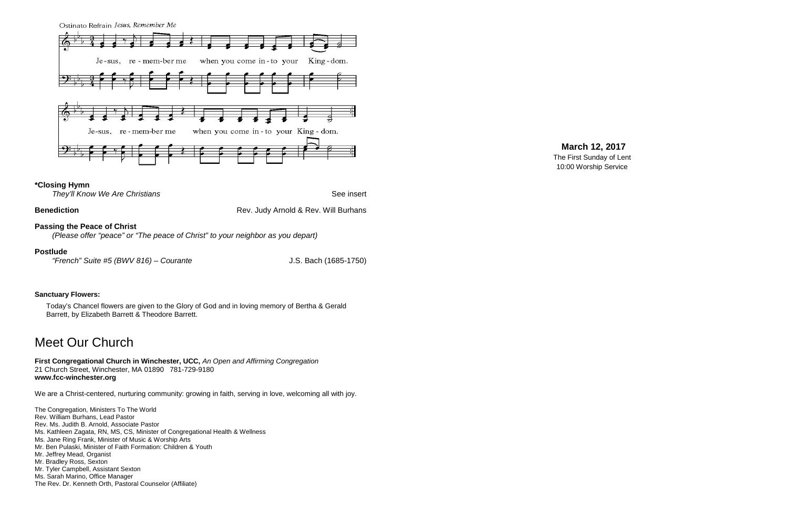Ostinato Refrain Jesus, Remember Me



### **\*Closing Hymn**

*They'll Know We Are Christians* **See insert See insert** 

### **Benediction Benediction Rev. Judy Arnold & Rev. Will Burhans**

**Passing the Peace of Christ**

*(Please offer "peace" or "The peace of Christ" to your neighbor as you depart)*

### **Postlude**

*"French" Suite #5 (BWV 816) – Courante* J.S. Bach (1685-1750)

### **Sanctuary Flowers:**

Today's Chancel flowers are given to the Glory of God and in loving memory of Bertha & Gerald Barrett, by Elizabeth Barrett & Theodore Barrett.

## Meet Our Church

**First Congregational Church in Winchester, UCC,** *An Open and Affirming Congregation* 21 Church Street, Winchester, MA 01890 781-729-9180 **www.fcc-winchester.org**

We are a Christ-centered, nurturing community: growing in faith, serving in love, welcoming all with joy.

The Congregation, Ministers To The World Rev. William Burhans, Lead Pastor Rev. Ms. Judith B. Arnold, Associate Pastor Ms. Kathleen Zagata, RN, MS, CS, Minister of Congregational Health & Wellness Ms. Jane Ring Frank, Minister of Music & Worship Arts Mr. Ben Pulaski, Minister of Faith Formation: Children & Youth Mr. Jeffrey Mead, Organist Mr. Bradley Ross, Sexton Mr. Tyler Campbell, Assistant Sexton Ms. Sarah Marino, Office Manager The Rev. Dr. Kenneth Orth, Pastoral Counselor (Affiliate)

## **March 12, 2017**

The First Sunday of Lent 10:00 Worship Service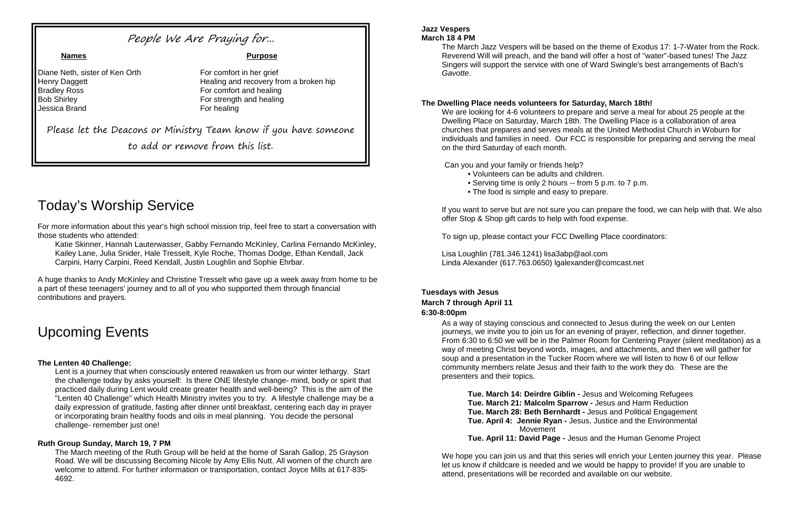## People We Are Praying for...

Diane Neth, sister of Ken Orth For comfort in her grief Bradley Ross For comfort and healing **Bob Shirley For strength and healing** Jessica Brand For healing

# Today's Worship Service

For more information about this year's high school mission trip, feel free to start a conversation with those students who attended:

Katie Skinner, Hannah Lauterwasser, Gabby Fernando McKinley, Carlina Fernando McKinley, Kailey Lane, Julia Snider, Hale Tresselt, Kyle Roche, Thomas Dodge, Ethan Kendall, Jack Carpini, Harry Carpini, Reed Kendall, Justin Loughlin and Sophie Ehrbar.

A huge thanks to Andy McKinley and Christine Tresselt who gave up a week away from home to be a part of these teenagers' journey and to all of you who supported them through financial contributions and prayers.

# Upcoming Events

### **The Lenten 40 Challenge:**

Lent is a journey that when consciously entered reawaken us from our winter lethargy. Start the challenge today by asks yourself: Is there ONE lifestyle change- mind, body or spirit that practiced daily during Lent would create greater health and well-being? This is the aim of the "Lenten 40 Challenge" which Health Ministry invites you to try. A lifestyle challenge may be a daily expression of gratitude, fasting after dinner until breakfast, centering each day in prayer or incorporating brain healthy foods and oils in meal planning. You decide the personal challenge- remember just one!

### **Ruth Group Sunday, March 19, 7 PM**

The March meeting of the Ruth Group will be held at the home of Sarah Gallop, 25 Grayson Road. We will be discussing Becoming Nicole by Amy Ellis Nutt. All women of the church are welcome to attend. For further information or transportation, contact Joyce Mills at 617-835- 4692.

### **Jazz Vespers March 18 4 PM**

The March Jazz Vespers will be based on the theme of Exodus 17: 1-7-Water from the Rock. Reverend Will will preach, and the band will offer a host of "water"-based tunes! The Jazz Singers will support the service with one of Ward Swingle's best arrangements of Bach's *Gavotte*.

### **The Dwelling Place needs volunteers for Saturday, March 18th!**

We are looking for 4-6 volunteers to prepare and serve a meal for about 25 people at the Dwelling Place on Saturday, March 18th. The Dwelling Place is a collaboration of area churches that prepares and serves meals at the United Methodist Church in Woburn for individuals and families in need. Our FCC is responsible for preparing and serving the meal on the third Saturday of each month.

Can you and your family or friends help?

- Volunteers can be adults and children.
- Serving time is only 2 hours -- from 5 p.m. to 7 p.m.
- The food is simple and easy to prepare.

If you want to serve but are not sure you can prepare the food, we can help with that. We also offer Stop & Shop gift cards to help with food expense.

To sign up, please contact your FCC Dwelling Place coordinators:

Lisa Loughlin (781.346.1241) lisa3abp@aol.com Linda Alexander (617.763.0650) lgalexander@comcast.net

### **Tuesdays with Jesus March 7 through April 11 6:30-8:00pm**

As a way of staying conscious and connected to Jesus during the week on our Lenten journeys, we invite you to join us for an evening of prayer, reflection, and dinner together. From 6:30 to 6:50 we will be in the Palmer Room for Centering Prayer (silent meditation) as a way of meeting Christ beyond words, images, and attachments, and then we will gather for soup and a presentation in the Tucker Room where we will listen to how 6 of our fellow community members relate Jesus and their faith to the work they do. These are the presenters and their topics.

**Tue. March 14: Deirdre Giblin -** Jesus and Welcoming Refugees **Tue. March 21: Malcolm Sparrow -** Jesus and Harm Reduction **Tue. March 28: Beth Bernhardt -** Jesus and Political Engagement **Tue. April 4: Jennie Ryan -** Jesus, Justice and the Environmental Movement **Tue. April 11: David Page -** Jesus and the Human Genome Project

We hope you can join us and that this series will enrich your Lenten journey this year. Please let us know if childcare is needed and we would be happy to provide! If you are unable to attend, presentations will be recorded and available on our website.

**Names Purpose**

Henry Daggett **Healing and recovery from a broken hip** 

Please let the Deacons or Ministry Team know if you have someone

to add or remove from this list.